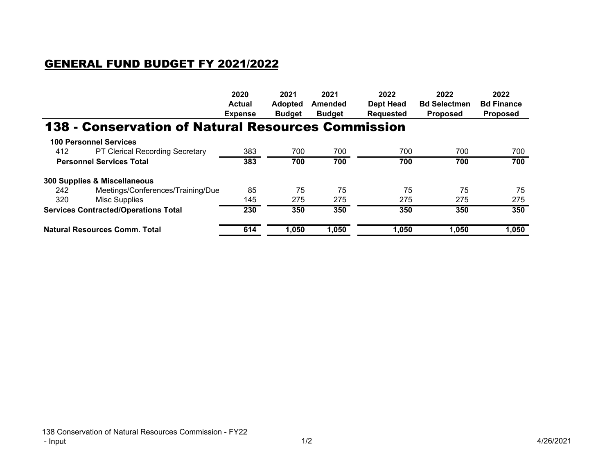## GENERAL FUND BUDGET FY 2021/2022

|                                             |                                                    | 2020           | 2021           | 2021          | 2022             | 2022                | 2022              |
|---------------------------------------------|----------------------------------------------------|----------------|----------------|---------------|------------------|---------------------|-------------------|
|                                             |                                                    | <b>Actual</b>  | <b>Adopted</b> | Amended       | <b>Dept Head</b> | <b>Bd Selectmen</b> | <b>Bd Finance</b> |
|                                             |                                                    | <b>Expense</b> | <b>Budget</b>  | <b>Budget</b> | <b>Requested</b> | <b>Proposed</b>     | <b>Proposed</b>   |
|                                             | 138 - Conservation of Natural Resources Commission |                |                |               |                  |                     |                   |
|                                             | <b>100 Personnel Services</b>                      |                |                |               |                  |                     |                   |
| 412                                         | <b>PT Clerical Recording Secretary</b>             | 383            | 700            | 700           | 700              | 700                 | 700               |
| <b>Personnel Services Total</b>             |                                                    | 383            | 700            | 700           | 700              | 700                 | 700               |
|                                             | 300 Supplies & Miscellaneous                       |                |                |               |                  |                     |                   |
| 242                                         | Meetings/Conferences/Training/Due                  | 85             | 75             | 75            | 75               | 75                  | 75                |
| 320                                         | <b>Misc Supplies</b>                               | 145            | 275            | 275           | 275              | 275                 | 275               |
| <b>Services Contracted/Operations Total</b> |                                                    | 230            | 350            | 350           | 350              | 350                 | 350               |
| <b>Natural Resources Comm. Total</b>        |                                                    | 614            | 1,050          | 1,050         | 1,050            | 1,050               | 1,050             |